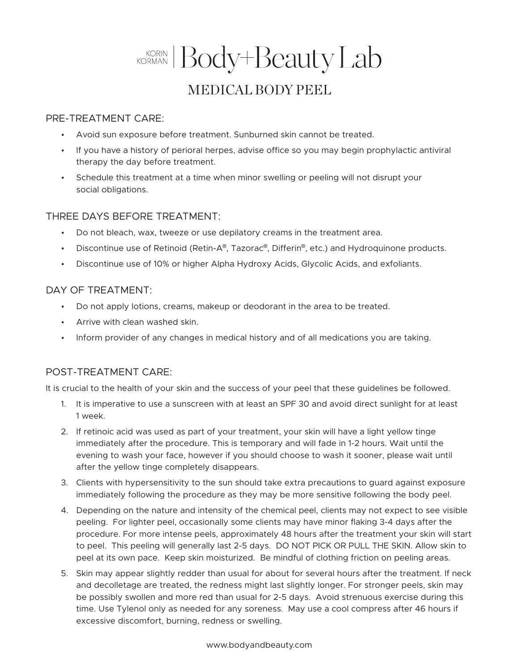# KORIAN Body+Beauty Lab MEDICAL BODY PEEL

#### PRE-TREATMENT CARE:

- Avoid sun exposure before treatment. Sunburned skin cannot be treated.
- If you have a history of perioral herpes, advise office so you may begin prophylactic antiviral therapy the day before treatment.
- Schedule this treatment at a time when minor swelling or peeling will not disrupt your social obligations.

## THREE DAYS BEFORE TREATMENT:

- Do not bleach, wax, tweeze or use depilatory creams in the treatment area.
- Discontinue use of Retinoid (Retin-A®, Tazorac®, Differin®, etc.) and Hydroquinone products.
- Discontinue use of 10% or higher Alpha Hydroxy Acids, Glycolic Acids, and exfoliants.

#### DAY OF TREATMENT:

- Do not apply lotions, creams, makeup or deodorant in the area to be treated.
- Arrive with clean washed skin.
- Inform provider of any changes in medical history and of all medications you are taking.

## POST-TREATMENT CARE:

It is crucial to the health of your skin and the success of your peel that these guidelines be followed.

- 1. It is imperative to use a sunscreen with at least an SPF 30 and avoid direct sunlight for at least 1 week.
- 2. If retinoic acid was used as part of your treatment, your skin will have a light yellow tinge immediately after the procedure. This is temporary and will fade in 1-2 hours. Wait until the evening to wash your face, however if you should choose to wash it sooner, please wait until after the yellow tinge completely disappears.
- 3. Clients with hypersensitivity to the sun should take extra precautions to guard against exposure immediately following the procedure as they may be more sensitive following the body peel.
- 4. Depending on the nature and intensity of the chemical peel, clients may not expect to see visible peeling. For lighter peel, occasionally some clients may have minor flaking 3-4 days after the procedure. For more intense peels, approximately 48 hours after the treatment your skin will start to peel. This peeling will generally last 2-5 days. DO NOT PICK OR PULL THE SKIN. Allow skin to peel at its own pace. Keep skin moisturized. Be mindful of clothing friction on peeling areas.
- 5. Skin may appear slightly redder than usual for about for several hours after the treatment. If neck and decolletage are treated, the redness might last slightly longer. For stronger peels, skin may be possibly swollen and more red than usual for 2-5 days. Avoid strenuous exercise during this time. Use Tylenol only as needed for any soreness. May use a cool compress after 46 hours if excessive discomfort, burning, redness or swelling.